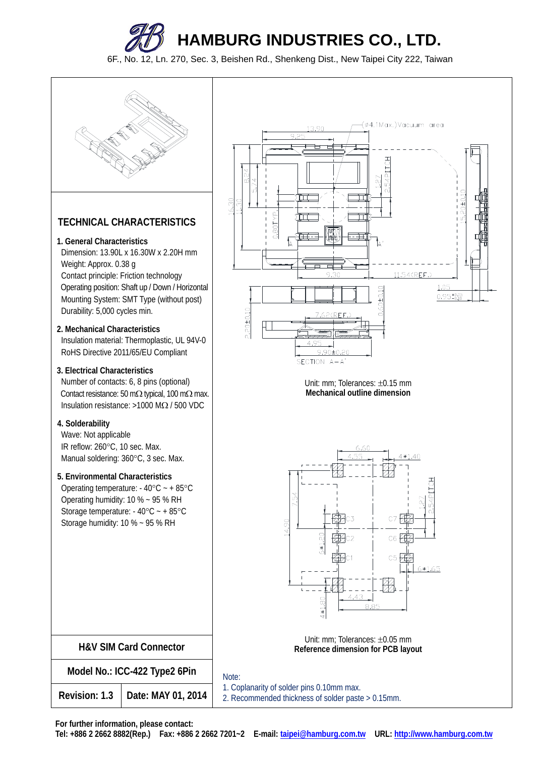

## **TECHNICAL CHARACTERISTICS**

- **1. General Characteristics**
- Dimension: 13.90L x 16.30W x 2.20H mm Weight: Approx. 0.38 g Contact principle: Friction technology Operating position: Shaft up / Down / Horizontal Mounting System: SMT Type (without post) Durability: 5,000 cycles min.
- **2. Mechanical Characteristics** Insulation material: Thermoplastic, UL 94V-0 RoHS Directive 2011/65/EU Compliant
- **3. Electrical Characteristics**

Number of contacts: 6, 8 pins (optional) Contact resistance: 50 m $\Omega$  typical, 100 m $\Omega$  max. Insulation resistance:  $>1000$  M $\Omega$  / 500 VDC

**4. Solderability**

Wave: Not applicable IR reflow: 260°C, 10 sec. Max. Manual soldering: 360°C, 3 sec. Max.

## **5. Environmental Characteristics**

Operating temperature:  $-40^{\circ}$ C ~  $+85^{\circ}$ C Operating humidity: 10 % ~ 95 % RH Storage temperature:  $-40^{\circ}$ C ~  $+85^{\circ}$ C Storage humidity: 10 % ~ 95 % RH

| <b>H&amp;V SIM Card Connector</b> |                    |  |
|-----------------------------------|--------------------|--|
| Model No.: ICC-422 Type2 6Pin     |                    |  |
| Revision: 1.3                     | Date: MAY 01, 2014 |  |



Unit: mm: Tolerances:  $\pm 0.15$  mm **Mechanical outline dimension** 



Unit: mm; Tolerances: ±0.05 mm **Reference dimension for PCB layout** 

## Note:

 1. Coplanarity of solder pins 0.10mm max. 2. Recommended thickness of solder paste > 0.15mm.

**For further information, please contact:**